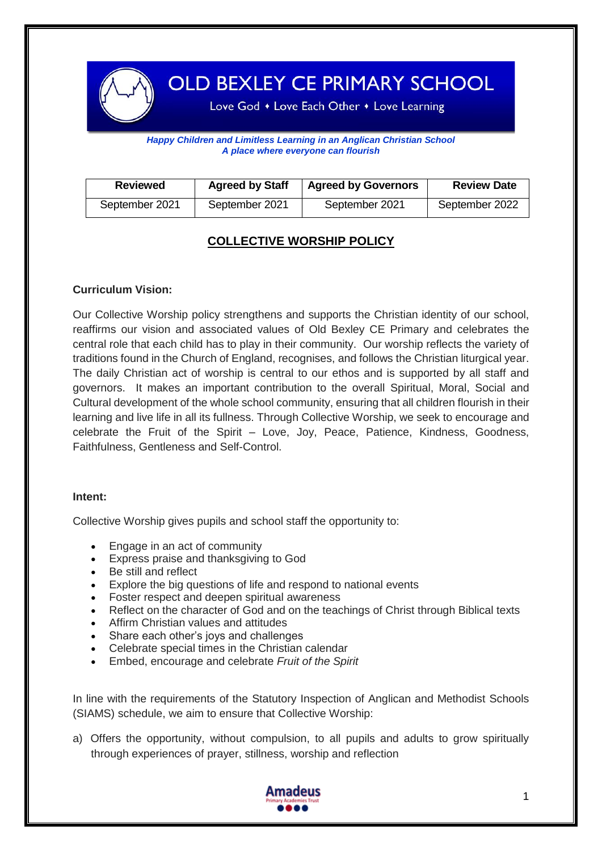

OLD BEXLEY CE PRIMARY SCHOOL

Love God • Love Each Other • Love Learning

*Happy Children and Limitless Learning in an Anglican Christian School A place where everyone can flourish*

| <b>Reviewed</b> | <b>Agreed by Staff</b> | <b>Agreed by Governors</b> | <b>Review Date</b> |
|-----------------|------------------------|----------------------------|--------------------|
| September 2021  | September 2021         | September 2021             | September 2022     |

# **COLLECTIVE WORSHIP POLICY**

## **Curriculum Vision:**

Our Collective Worship policy strengthens and supports the Christian identity of our school, reaffirms our vision and associated values of Old Bexley CE Primary and celebrates the central role that each child has to play in their community. Our worship reflects the variety of traditions found in the Church of England, recognises, and follows the Christian liturgical year. The daily Christian act of worship is central to our ethos and is supported by all staff and governors. It makes an important contribution to the overall Spiritual, Moral, Social and Cultural development of the whole school community, ensuring that all children flourish in their learning and live life in all its fullness. Through Collective Worship, we seek to encourage and celebrate the Fruit of the Spirit – Love, Joy, Peace, Patience, Kindness, Goodness, Faithfulness, Gentleness and Self-Control.

#### **Intent:**

Collective Worship gives pupils and school staff the opportunity to:

- Engage in an act of community
- Express praise and thanksgiving to God
- Be still and reflect
- Explore the big questions of life and respond to national events
- Foster respect and deepen spiritual awareness
- Reflect on the character of God and on the teachings of Christ through Biblical texts
- Affirm Christian values and attitudes
- Share each other's joys and challenges
- Celebrate special times in the Christian calendar
- Embed, encourage and celebrate *Fruit of the Spirit*

In line with the requirements of the Statutory Inspection of Anglican and Methodist Schools (SIAMS) schedule, we aim to ensure that Collective Worship:

a) Offers the opportunity, without compulsion, to all pupils and adults to grow spiritually through experiences of prayer, stillness, worship and reflection



Ļ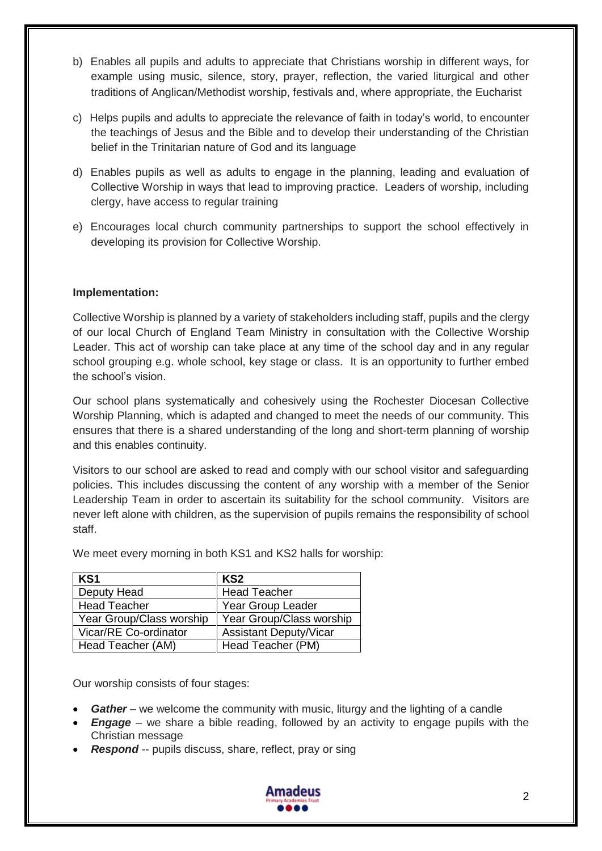- b) Enables all pupils and adults to appreciate that Christians worship in different ways, for example using music, silence, story, prayer, reflection, the varied liturgical and other traditions of Anglican/Methodist worship, festivals and, where appropriate, the Eucharist
- c) Helps pupils and adults to appreciate the relevance of faith in today's world, to encounter the teachings of Jesus and the Bible and to develop their understanding of the Christian belief in the Trinitarian nature of God and its language
- d) Enables pupils as well as adults to engage in the planning, leading and evaluation of Collective Worship in ways that lead to improving practice. Leaders of worship, including clergy, have access to regular training
- e) Encourages local church community partnerships to support the school effectively in developing its provision for Collective Worship.

## **Implementation:**

Collective Worship is planned by a variety of stakeholders including staff, pupils and the clergy of our local Church of England Team Ministry in consultation with the Collective Worship Leader. This act of worship can take place at any time of the school day and in any regular school grouping e.g. whole school, key stage or class. It is an opportunity to further embed the school's vision.

Our school plans systematically and cohesively using the Rochester Diocesan Collective Worship Planning, which is adapted and changed to meet the needs of our community. This ensures that there is a shared understanding of the long and short-term planning of worship and this enables continuity.

Visitors to our school are asked to read and comply with our school visitor and safeguarding policies. This includes discussing the content of any worship with a member of the Senior Leadership Team in order to ascertain its suitability for the school community. Visitors are never left alone with children, as the supervision of pupils remains the responsibility of school staff.

| KS <sub>1</sub>          | KS2                           |  |
|--------------------------|-------------------------------|--|
| Deputy Head              | <b>Head Teacher</b>           |  |
| <b>Head Teacher</b>      | Year Group Leader             |  |
| Year Group/Class worship | Year Group/Class worship      |  |
| Vicar/RE Co-ordinator    | <b>Assistant Deputy/Vicar</b> |  |
| Head Teacher (AM)        | Head Teacher (PM)             |  |

We meet every morning in both KS1 and KS2 halls for worship:

Our worship consists of four stages:

- *Gather* we welcome the community with music, liturgy and the lighting of a candle
- *Engage* we share a bible reading, followed by an activity to engage pupils with the Christian message
- Respond -- pupils discuss, share, reflect, pray or sing

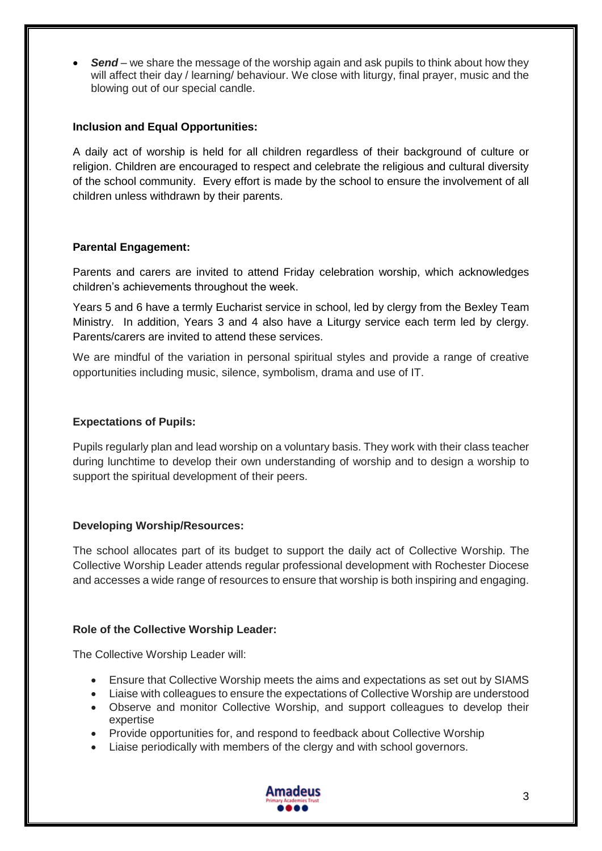*Send* – we share the message of the worship again and ask pupils to think about how they will affect their day / learning/ behaviour. We close with liturgy, final prayer, music and the blowing out of our special candle.

## **Inclusion and Equal Opportunities:**

A daily act of worship is held for all children regardless of their background of culture or religion. Children are encouraged to respect and celebrate the religious and cultural diversity of the school community. Every effort is made by the school to ensure the involvement of all children unless withdrawn by their parents.

# **Parental Engagement:**

Parents and carers are invited to attend Friday celebration worship, which acknowledges children's achievements throughout the week.

Years 5 and 6 have a termly Eucharist service in school, led by clergy from the Bexley Team Ministry. In addition, Years 3 and 4 also have a Liturgy service each term led by clergy. Parents/carers are invited to attend these services.

We are mindful of the variation in personal spiritual styles and provide a range of creative opportunities including music, silence, symbolism, drama and use of IT.

## **Expectations of Pupils:**

Pupils regularly plan and lead worship on a voluntary basis. They work with their class teacher during lunchtime to develop their own understanding of worship and to design a worship to support the spiritual development of their peers.

# **Developing Worship/Resources:**

The school allocates part of its budget to support the daily act of Collective Worship. The Collective Worship Leader attends regular professional development with Rochester Diocese and accesses a wide range of resources to ensure that worship is both inspiring and engaging.

# **Role of the Collective Worship Leader:**

The Collective Worship Leader will:

- Ensure that Collective Worship meets the aims and expectations as set out by SIAMS
- Liaise with colleagues to ensure the expectations of Collective Worship are understood
- Observe and monitor Collective Worship, and support colleagues to develop their expertise
- Provide opportunities for, and respond to feedback about Collective Worship
- Liaise periodically with members of the clergy and with school governors.